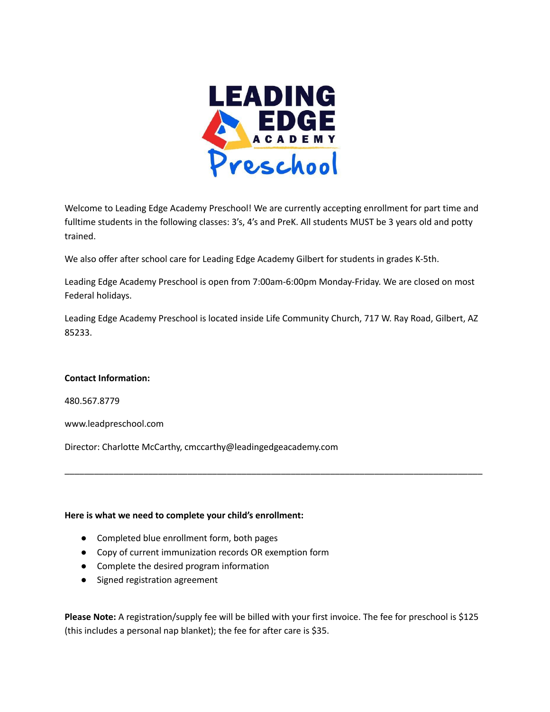

Welcome to Leading Edge Academy Preschool! We are currently accepting enrollment for part time and fulltime students in the following classes: 3's, 4's and PreK. All students MUST be 3 years old and potty trained.

We also offer after school care for Leading Edge Academy Gilbert for students in grades K-5th.

Leading Edge Academy Preschool is open from 7:00am-6:00pm Monday-Friday. We are closed on most Federal holidays.

Leading Edge Academy Preschool is located inside Life Community Church, 717 W. Ray Road, Gilbert, AZ 85233.

\_\_\_\_\_\_\_\_\_\_\_\_\_\_\_\_\_\_\_\_\_\_\_\_\_\_\_\_\_\_\_\_\_\_\_\_\_\_\_\_\_\_\_\_\_\_\_\_\_\_\_\_\_\_\_\_\_\_\_\_\_\_\_\_\_\_\_\_\_\_\_\_\_\_\_\_\_\_\_\_\_\_\_\_\_

#### **Contact Information:**

480.567.8779

www.leadpreschool.com

Director: Charlotte McCarthy, cmccarthy@leadingedgeacademy.com

#### **Here is what we need to complete your child's enrollment:**

- Completed blue enrollment form, both pages
- Copy of current immunization records OR exemption form
- Complete the desired program information
- Signed registration agreement

**Please Note:** A registration/supply fee will be billed with your first invoice. The fee for preschool is \$125 (this includes a personal nap blanket); the fee for after care is \$35.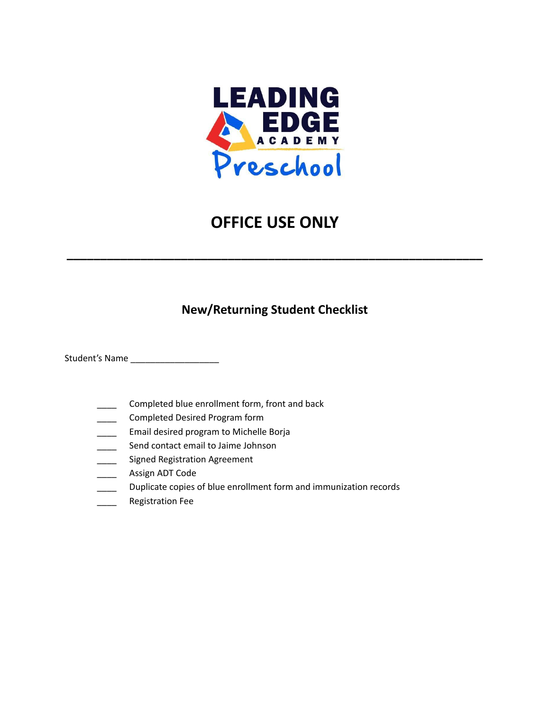

# **OFFICE USE ONLY**

**\_\_\_\_\_\_\_\_\_\_\_\_\_\_\_\_\_\_\_\_\_\_\_\_\_\_\_\_\_\_\_\_\_\_\_\_\_\_\_\_\_\_\_\_\_\_\_\_\_\_\_\_\_\_\_\_\_\_\_\_\_\_**

## **New/Returning Student Checklist**

Student's Name \_\_\_\_\_\_\_\_\_\_\_\_\_\_\_\_\_\_

- \_\_\_\_ Completed blue enrollment form, front and back
- \_\_\_\_ Completed Desired Program form
- \_\_\_\_ Email desired program to Michelle Borja
- Send contact email to Jaime Johnson
- **EXECO Signed Registration Agreement**
- \_\_\_\_ Assign ADT Code
- **EXECUTE:** Duplicate copies of blue enrollment form and immunization records
- \_\_\_\_ Registration Fee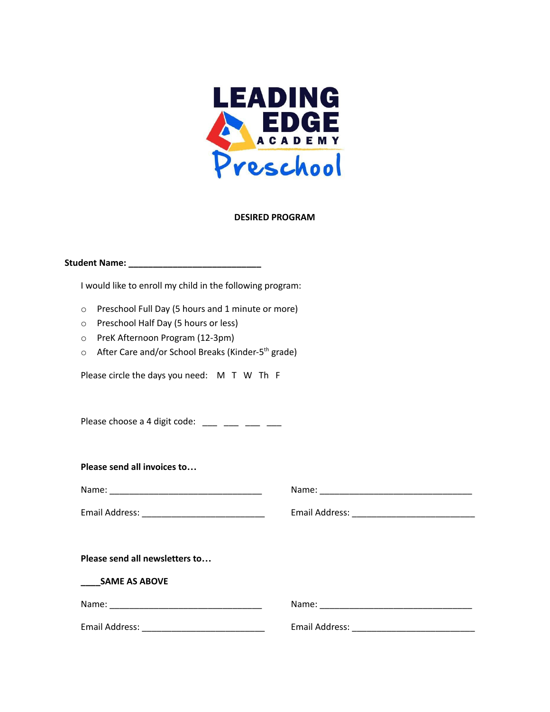

#### **DESIRED PROGRAM**

| I would like to enroll my child in the following program:                                                                                                                                                                                                                                 |  |
|-------------------------------------------------------------------------------------------------------------------------------------------------------------------------------------------------------------------------------------------------------------------------------------------|--|
| Preschool Full Day (5 hours and 1 minute or more)<br>$\circ$<br>Preschool Half Day (5 hours or less)<br>$\circ$<br>PreK Afternoon Program (12-3pm)<br>$\circ$<br>After Care and/or School Breaks (Kinder-5 <sup>th</sup> grade)<br>$\circ$<br>Please circle the days you need: M T W Th F |  |
| Please choose a 4 digit code: $\frac{1}{2}$ $\frac{1}{2}$ $\frac{1}{2}$ $\frac{1}{2}$ $\frac{1}{2}$                                                                                                                                                                                       |  |
| Please send all invoices to                                                                                                                                                                                                                                                               |  |
|                                                                                                                                                                                                                                                                                           |  |
|                                                                                                                                                                                                                                                                                           |  |
| Please send all newsletters to                                                                                                                                                                                                                                                            |  |
| <b>SAME AS ABOVE</b>                                                                                                                                                                                                                                                                      |  |
|                                                                                                                                                                                                                                                                                           |  |
|                                                                                                                                                                                                                                                                                           |  |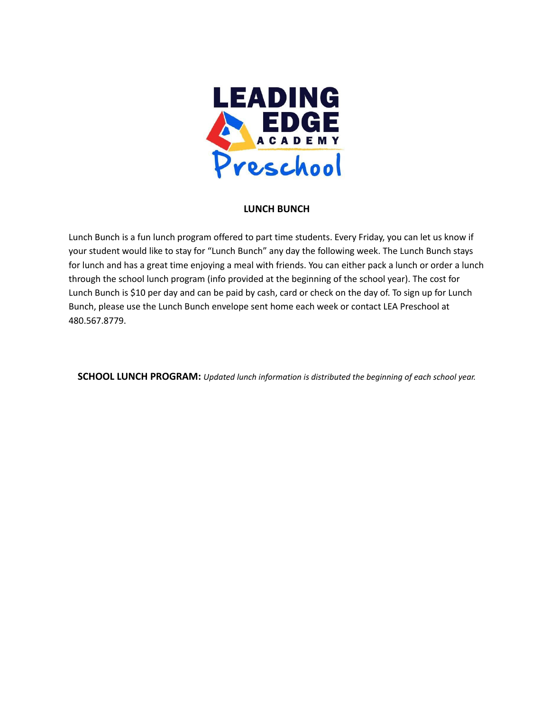

#### **LUNCH BUNCH**

Lunch Bunch is a fun lunch program offered to part time students. Every Friday, you can let us know if your student would like to stay for "Lunch Bunch" any day the following week. The Lunch Bunch stays for lunch and has a great time enjoying a meal with friends. You can either pack a lunch or order a lunch through the school lunch program (info provided at the beginning of the school year). The cost for Lunch Bunch is \$10 per day and can be paid by cash, card or check on the day of. To sign up for Lunch Bunch, please use the Lunch Bunch envelope sent home each week or contact LEA Preschool at 480.567.8779.

**SCHOOL LUNCH PROGRAM:** *Updated lunch information is distributed the beginning of each school year.*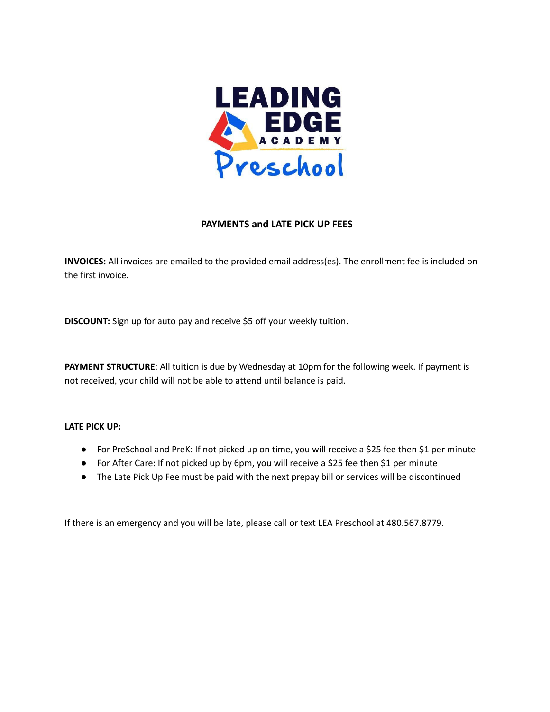

#### **PAYMENTS and LATE PICK UP FEES**

**INVOICES:** All invoices are emailed to the provided email address(es). The enrollment fee is included on the first invoice.

**DISCOUNT:** Sign up for auto pay and receive \$5 off your weekly tuition.

**PAYMENT STRUCTURE**: All tuition is due by Wednesday at 10pm for the following week. If payment is not received, your child will not be able to attend until balance is paid.

#### **LATE PICK UP:**

- For PreSchool and PreK: If not picked up on time, you will receive a \$25 fee then \$1 per minute
- For After Care: If not picked up by 6pm, you will receive a \$25 fee then \$1 per minute
- The Late Pick Up Fee must be paid with the next prepay bill or services will be discontinued

If there is an emergency and you will be late, please call or text LEA Preschool at 480.567.8779.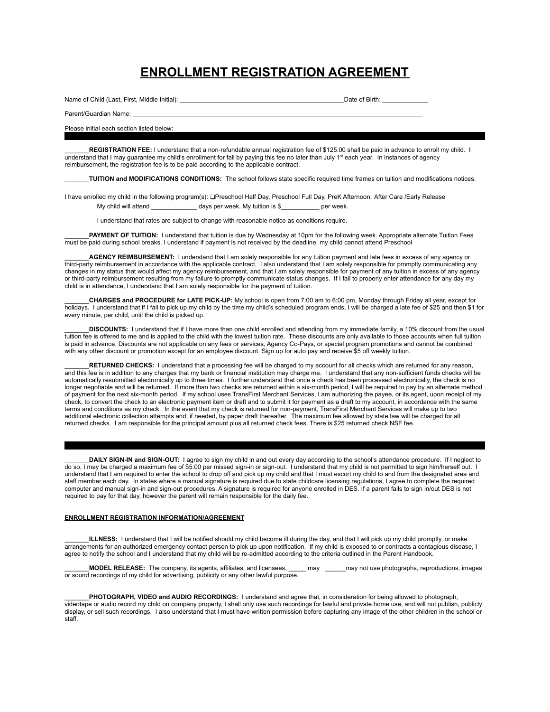## **ENROLLMENT REGISTRATION AGREEMENT**

Name of Child (Last, First, Middle Initial): \_\_\_\_\_\_\_\_\_\_\_\_\_\_\_\_\_\_\_\_\_\_\_\_\_\_\_\_\_\_\_\_\_\_\_\_\_\_\_\_\_\_\_\_\_\_\_Date of Birth: \_\_\_\_\_\_\_\_\_\_\_\_\_

Parent/Guardian Name:

#### Please initial each section listed below:

\_\_\_\_\_\_\_**REGISTRATION FEE:** I understand that a non-refundable annual registration fee of \$125.00 shall be paid in advance to enroll my child. I understand that I may guarantee my child's enrollment for fall by paying this fee no later than July 1<sup>st</sup> each year. In instances of agency reimbursement, the registration fee is to be paid according to the applicable contract.

\_\_\_\_\_\_\_**TUITION and MODIFICATIONS CONDITIONS:** The school follows state specific required time frames on tuition and modifications notices.

I have enrolled my child in the following program(s): ❑Preschool Half Day, Preschool Full Day, PreK Afternoon, After Care /Early Release My child will attend \_\_\_\_\_\_\_\_\_\_\_\_\_\_\_ days per week. My tuition is \$\_\_\_\_\_\_\_\_\_\_\_\_ per week.

I understand that rates are subject to change with reasonable notice as conditions require.

\_\_\_\_\_\_\_**PAYMENT OF TUITION:** I understand that tuition is due by Wednesday at 10pm for the following week. Appropriate alternate Tuition Fees must be paid during school breaks. I understand if payment is not received by the deadline, my child cannot attend Preschool

**AGENCY REIMBURSEMENT:** I understand that I am solely responsible for any tuition payment and late fees in excess of any agency or third-party reimbursement in accordance with the applicable contract. I also understand that I am solely responsible for promptly communicating any changes in my status that would affect my agency reimbursement, and that I am solely responsible for payment of any tuition in excess of any agency or third-party reimbursement resulting from my failure to promptly communicate status changes. If I fail to properly enter attendance for any day my child is in attendance, I understand that I am solely responsible for the payment of tuition.

\_\_\_\_\_\_\_**CHARGES and PROCEDURE for LATE PICK-UP:** My school is open from 7:00 am to 6:00 pm, Monday through Friday all year, except for holidays. I understand that if I fail to pick up my child by the time my child's scheduled program ends, I will be charged a late fee of \$25 and then \$1 for every minute, per child, until the child is picked up.

\_\_\_\_\_\_\_**DISCOUNTS:** I understand that if I have more than one child enrolled and attending from my immediate family, a 10% discount from the usual tuition fee is offered to me and is applied to the child with the lowest tuition rate. These discounts are only available to those accounts when full tuition is paid in advance. Discounts are not applicable on any fees or services, Agency Co-Pays, or special program promotions and cannot be combined with any other discount or promotion except for an employee discount. Sign up for auto pay and receive \$5 off weekly tuition.

\_\_\_\_\_\_\_**RETURNED CHECKS:** I understand that a processing fee will be charged to my account for all checks which are returned for any reason, and this fee is in addition to any charges that my bank or financial institution may charge me. I understand that any non-sufficient funds checks will be automatically resubmitted electronically up to three times. I further understand that once a check has been processed electronically, the check is no longer negotiable and will be returned. If more than two checks are returned within a six-month period, I will be required to pay by an alternate method of payment for the next six-month period. If my school uses TransFirst Merchant Services, I am authorizing the payee, or its agent, upon receipt of my check, to convert the check to an electronic payment item or draft and to submit it for payment as a draft to my account, in accordance with the same terms and conditions as my check. In the event that my check is returned for non-payment, TransFirst Merchant Services will make up to two additional electronic collection attempts and, if needed, by paper draft thereafter. The maximum fee allowed by state law will be charged for all returned checks. I am responsible for the principal amount plus all returned check fees. There is \$25 returned check NSF fee.

\_\_\_\_\_\_\_**DAILY SIGN-IN and SIGN-OUT:** I agree to sign my child in and out every day according to the school's attendance procedure. If I neglect to do so, I may be charged a maximum fee of \$5.00 per missed sign-in or sign-out. I understand that my child is not permitted to sign him/herself out. I understand that I am required to enter the school to drop off and pick up my child and that I must escort my child to and from the designated area and staff member each day. In states where a manual signature is required due to state childcare licensing regulations, I agree to complete the required computer and manual sign-in and sign-out procedures. A signature is required for anyone enrolled in DES. If a parent fails to sign in/out DES is not required to pay for that day, however the parent will remain responsible for the daily fee.

#### **ENROLLMENT REGISTRATION INFORMATION/AGREEMENT**

\_\_\_\_\_\_\_**ILLNESS:** I understand that I will be notified should my child become ill during the day, and that I will pick up my child promptly, or make arrangements for an authorized emergency contact person to pick up upon notification. If my child is exposed to or contracts a contagious disease, I agree to notify the school and I understand that my child will be re-admitted according to the criteria outlined in the Parent Handbook.

\_\_\_\_\_\_\_**MODEL RELEASE:** The company, its agents, affiliates, and licensees, \_\_\_\_\_ may \_\_\_\_\_\_may not use photographs, reproductions, images or sound recordings of my child for advertising, publicity or any other lawful purpose.

\_\_\_\_\_\_\_**PHOTOGRAPH, VIDEO and AUDIO RECORDINGS:** I understand and agree that, in consideration for being allowed to photograph, videotape or audio record my child on company property, I shall only use such recordings for lawful and private home use, and will not publish, publicly display, or sell such recordings. I also understand that I must have written permission before capturing any image of the other children in the school or staff.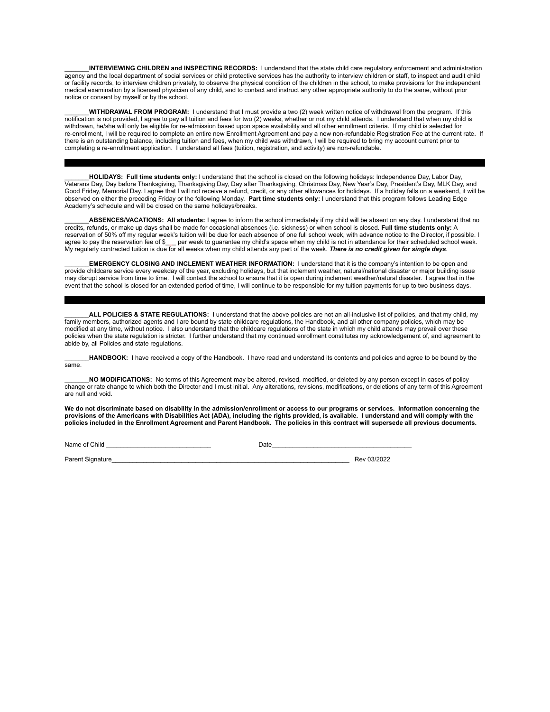\_\_\_\_\_\_\_**INTERVIEWING CHILDREN and INSPECTING RECORDS:** I understand that the state child care regulatory enforcement and administration agency and the local department of social services or child protective services has the authority to interview children or staff, to inspect and audit child or facility records, to interview children privately, to observe the physical condition of the children in the school, to make provisions for the independent medical examination by a licensed physician of any child, and to contact and instruct any other appropriate authority to do the same, without prior notice or consent by myself or by the school.

\_\_\_\_\_\_\_**WITHDRAWAL FROM PROGRAM:** I understand that I must provide a two (2) week written notice of withdrawal from the program. If this notification is not provided, I agree to pay all tuition and fees for two (2) weeks, whether or not my child attends. I understand that when my child is withdrawn, he/she will only be eligible for re-admission based upon space availability and all other enrollment criteria. If my child is selected for re-enrollment, I will be required to complete an entire new Enrollment Agreement and pay a new non-refundable Registration Fee at the current rate. If there is an outstanding balance, including tuition and fees, when my child was withdrawn, I will be required to bring my account current prior to completing a re-enrollment application. I understand all fees (tuition, registration, and activity) are non-refundable.

\_\_\_\_\_\_\_**HOLIDAYS: Full time students only:** I understand that the school is closed on the following holidays: Independence Day, Labor Day, Veterans Day, Day before Thanksgiving, Thanksgiving Day, Day after Thanksgiving, Christmas Day, New Year's Day, President's Day, MLK Day, and Good Friday, Memorial Day. I agree that I will not receive a refund, credit, or any other allowances for holidays. If a holiday falls on a weekend, it will be observed on either the preceding Friday or the following Monday. **Part time students only:** I understand that this program follows Leading Edge Academy's schedule and will be closed on the same holidays/breaks.

\_\_\_\_\_\_\_**ABSENCES/VACATIONS: All students:** I agree to inform the school immediately if my child will be absent on any day. I understand that no credits, refunds, or make up days shall be made for occasional absences (i.e. sickness) or when school is closed. **Full time students only:** A reservation of 50% off my regular week's tuition will be due for each absence of one full school week, with advance notice to the Director, if possible. I agree to pay the reservation fee of \$\_\_\_ per week to guarantee my child's space when my child is not in attendance for their scheduled school week. My regularly contracted tuition is due for all weeks when my child attends any part of the week. *There is no credit given for single days.*

\_\_\_\_\_\_\_**EMERGENCY CLOSING AND INCLEMENT WEATHER INFORMATION:** I understand that it is the company's intention to be open and provide childcare service every weekday of the year, excluding holidays, but that inclement weather, natural/national disaster or major building issue may disrupt service from time to time. I will contact the school to ensure that it is open during inclement weather/natural disaster. I agree that in the event that the school is closed for an extended period of time, I will continue to be responsible for my tuition payments for up to two business days.

\_\_\_\_\_\_\_**ALL POLICIES & STATE REGULATIONS:** I understand that the above policies are not an all-inclusive list of policies, and that my child, my family members, authorized agents and I are bound by state childcare regulations, the Handbook, and all other company policies, which may be modified at any time, without notice. I also understand that the childcare regulations of the state in which my child attends may prevail over these policies when the state regulation is stricter. I further understand that my continued enrollment constitutes my acknowledgement of, and agreement to abide by, all Policies and state regulations.

HANDBOOK: I have received a copy of the Handbook. I have read and understand its contents and policies and agree to be bound by the same.

\_\_\_\_\_\_\_**NO MODIFICATIONS:** No terms of this Agreement may be altered, revised, modified, or deleted by any person except in cases of policy change or rate change to which both the Director and I must initial. Any alterations, revisions, modifications, or deletions of any term of this Agreement are null and void.

We do not discriminate based on disability in the admission/enrollment or access to our programs or services. Information concerning the provisions of the Americans with Disabilities Act (ADA), including the rights provided, is available. I understand and will comply with the policies included in the Enrollment Agreement and Parent Handbook. The policies in this contract will supersede all previous documents.

Name of Child \_\_\_\_\_\_\_\_\_\_\_\_\_\_\_\_\_\_\_\_\_\_\_\_\_\_\_\_\_\_ Date\_\_\_\_\_\_\_\_\_\_\_\_\_\_\_\_\_\_\_\_\_\_\_\_\_\_\_\_\_\_\_\_\_\_\_\_\_\_\_\_

Parent Signature **New Signature Rev 03/2022**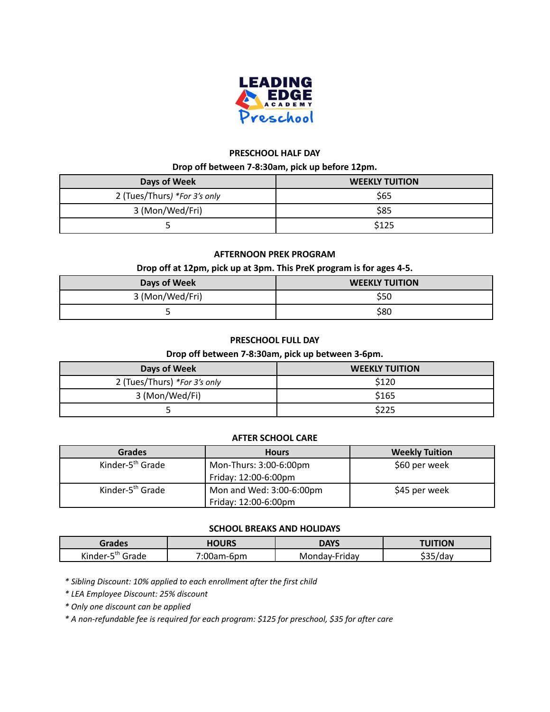

### **PRESCHOOL HALF DAY**

#### **Drop off between 7-8:30am, pick up before 12pm.**

| Days of Week                 | <b>WEEKLY TUITION</b> |  |
|------------------------------|-----------------------|--|
| 2 (Tues/Thurs) *For 3's only | \$65                  |  |
| 3 (Mon/Wed/Fri)              | \$85                  |  |
|                              | \$125                 |  |

#### **AFTERNOON PREK PROGRAM**

#### **Drop off at 12pm, pick up at 3pm. This PreK program is for ages 4-5.**

| Days of Week    | <b>WEEKLY TUITION</b> |  |
|-----------------|-----------------------|--|
| 3 (Mon/Wed/Fri) | S50                   |  |
|                 | \$80                  |  |

#### **PRESCHOOL FULL DAY**

#### **Drop off between 7-8:30am, pick up between 3-6pm.**

| Days of Week                 | <b>WEEKLY TUITION</b> |
|------------------------------|-----------------------|
| 2 (Tues/Thurs) *For 3's only | \$120                 |
| 3 (Mon/Wed/Fi)               | \$165                 |
|                              | \$225                 |

#### **AFTER SCHOOL CARE**

| <b>Grades</b>                | <b>Hours</b>             | <b>Weekly Tuition</b> |
|------------------------------|--------------------------|-----------------------|
| Kinder-5 <sup>th</sup> Grade | Mon-Thurs: 3:00-6:00pm   | \$60 per week         |
|                              | Friday: 12:00-6:00pm     |                       |
| Kinder-5 <sup>th</sup> Grade | Mon and Wed: 3:00-6:00pm | \$45 per week         |
|                              | Friday: 12:00-6:00pm     |                       |

#### **SCHOOL BREAKS AND HOLIDAYS**

| Grades                                                 | <b>HOURS</b>  | <b>DAYS</b>   | <b>UITION</b>       |
|--------------------------------------------------------|---------------|---------------|---------------------|
| $\cdots$<br>$\sim$ and $\sim$<br>Grade<br>Kinder-<br>- | 7∙∩∩<br>n-6pm | Monday-Friday | <u> ተገሥ</u><br>7dav |

*\* Sibling Discount: 10% applied to each enrollment after the first child*

*\* LEA Employee Discount: 25% discount*

*\* Only one discount can be applied*

*\* A non-refundable fee is required for each program: \$125 for preschool, \$35 for after care*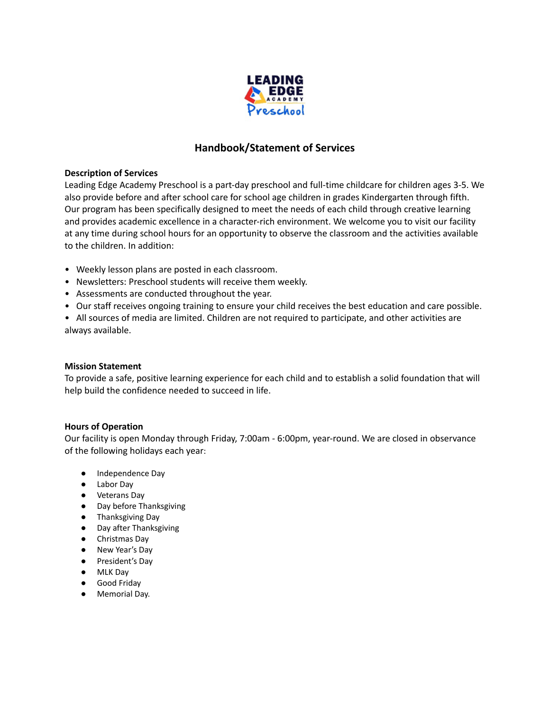

### **Handbook/Statement of Services**

#### **Description of Services**

Leading Edge Academy Preschool is a part-day preschool and full-time childcare for children ages 3-5. We also provide before and after school care for school age children in grades Kindergarten through fifth. Our program has been specifically designed to meet the needs of each child through creative learning and provides academic excellence in a character-rich environment. We welcome you to visit our facility at any time during school hours for an opportunity to observe the classroom and the activities available to the children. In addition:

- Weekly lesson plans are posted in each classroom.
- Newsletters: Preschool students will receive them weekly.
- Assessments are conducted throughout the year.
- Our staff receives ongoing training to ensure your child receives the best education and care possible.
- All sources of media are limited. Children are not required to participate, and other activities are always available.

#### **Mission Statement**

To provide a safe, positive learning experience for each child and to establish a solid foundation that will help build the confidence needed to succeed in life.

#### **Hours of Operation**

Our facility is open Monday through Friday, 7:00am - 6:00pm, year-round. We are closed in observance of the following holidays each year:

- Independence Day
- Labor Day
- Veterans Day
- Day before Thanksgiving
- Thanksgiving Day
- Day after Thanksgiving
- Christmas Day
- New Year's Day
- President's Day
- MLK Day
- Good Friday
- Memorial Day.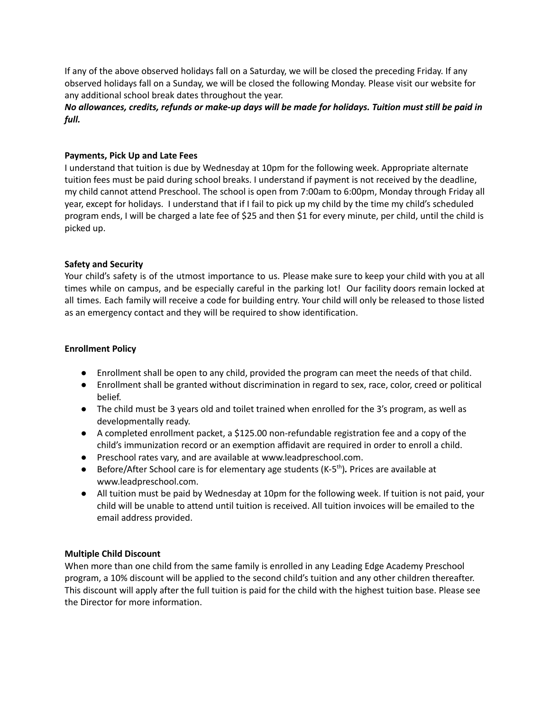If any of the above observed holidays fall on a Saturday, we will be closed the preceding Friday. If any observed holidays fall on a Sunday, we will be closed the following Monday. Please visit our website for any additional school break dates throughout the year.

No allowances, credits, refunds or make-up days will be made for holidays. Tuition must still be paid in *full.*

#### **Payments, Pick Up and Late Fees**

I understand that tuition is due by Wednesday at 10pm for the following week. Appropriate alternate tuition fees must be paid during school breaks. I understand if payment is not received by the deadline, my child cannot attend Preschool. The school is open from 7:00am to 6:00pm, Monday through Friday all year, except for holidays. I understand that if I fail to pick up my child by the time my child's scheduled program ends, I will be charged a late fee of \$25 and then \$1 for every minute, per child, until the child is picked up.

#### **Safety and Security**

Your child's safety is of the utmost importance to us. Please make sure to keep your child with you at all times while on campus, and be especially careful in the parking lot! Our facility doors remain locked at all times. Each family will receive a code for building entry. Your child will only be released to those listed as an emergency contact and they will be required to show identification.

#### **Enrollment Policy**

- Enrollment shall be open to any child, provided the program can meet the needs of that child.
- Enrollment shall be granted without discrimination in regard to sex, race, color, creed or political belief.
- The child must be 3 years old and toilet trained when enrolled for the 3's program, as well as developmentally ready.
- A completed enrollment packet, a \$125.00 non-refundable registration fee and a copy of the child's immunization record or an exemption affidavit are required in order to enroll a child.
- Preschool rates vary, and are available at www.leadpreschool.com.
- Before/After School care is for elementary age students (K-5<sup>th</sup>). Prices are available at www.leadpreschool.com.
- **●** All tuition must be paid by Wednesday at 10pm for the following week. If tuition is not paid, your child will be unable to attend until tuition is received. All tuition invoices will be emailed to the email address provided.

#### **Multiple Child Discount**

When more than one child from the same family is enrolled in any Leading Edge Academy Preschool program, a 10% discount will be applied to the second child's tuition and any other children thereafter. This discount will apply after the full tuition is paid for the child with the highest tuition base. Please see the Director for more information.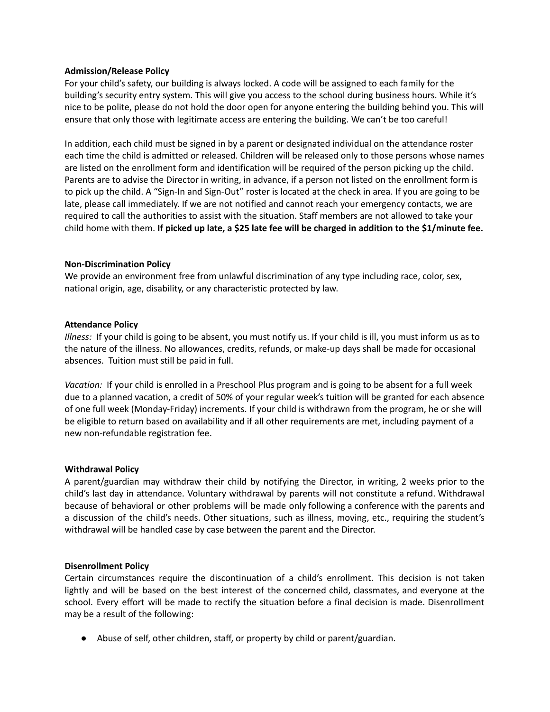#### **Admission/Release Policy**

For your child's safety, our building is always locked. A code will be assigned to each family for the building's security entry system. This will give you access to the school during business hours. While it's nice to be polite, please do not hold the door open for anyone entering the building behind you. This will ensure that only those with legitimate access are entering the building. We can't be too careful!

In addition, each child must be signed in by a parent or designated individual on the attendance roster each time the child is admitted or released. Children will be released only to those persons whose names are listed on the enrollment form and identification will be required of the person picking up the child. Parents are to advise the Director in writing, in advance, if a person not listed on the enrollment form is to pick up the child. A "Sign-In and Sign-Out" roster is located at the check in area. If you are going to be late, please call immediately. If we are not notified and cannot reach your emergency contacts, we are required to call the authorities to assist with the situation. Staff members are not allowed to take your child home with them. **If picked up late, a \$25 late fee will be charged in addition to the \$1/minute fee.**

#### **Non-Discrimination Policy**

We provide an environment free from unlawful discrimination of any type including race, color, sex, national origin, age, disability, or any characteristic protected by law.

#### **Attendance Policy**

*Illness:* If your child is going to be absent, you must notify us. If your child is ill, you must inform us as to the nature of the illness. No allowances, credits, refunds, or make-up days shall be made for occasional absences. Tuition must still be paid in full.

*Vacation:* If your child is enrolled in a Preschool Plus program and is going to be absent for a full week due to a planned vacation, a credit of 50% of your regular week's tuition will be granted for each absence of one full week (Monday-Friday) increments. If your child is withdrawn from the program, he or she will be eligible to return based on availability and if all other requirements are met, including payment of a new non-refundable registration fee.

#### **Withdrawal Policy**

A parent/guardian may withdraw their child by notifying the Director, in writing, 2 weeks prior to the child's last day in attendance. Voluntary withdrawal by parents will not constitute a refund. Withdrawal because of behavioral or other problems will be made only following a conference with the parents and a discussion of the child's needs. Other situations, such as illness, moving, etc., requiring the student's withdrawal will be handled case by case between the parent and the Director.

#### **Disenrollment Policy**

Certain circumstances require the discontinuation of a child's enrollment. This decision is not taken lightly and will be based on the best interest of the concerned child, classmates, and everyone at the school. Every effort will be made to rectify the situation before a final decision is made. Disenrollment may be a result of the following:

● Abuse of self, other children, staff, or property by child or parent/guardian.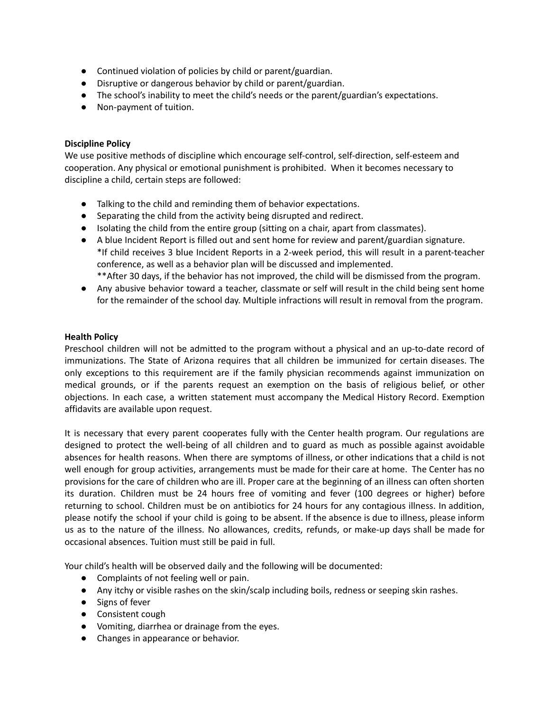- Continued violation of policies by child or parent/guardian.
- Disruptive or dangerous behavior by child or parent/guardian.
- The school's inability to meet the child's needs or the parent/guardian's expectations.
- Non-payment of tuition.

#### **Discipline Policy**

We use positive methods of discipline which encourage self-control, self-direction, self-esteem and cooperation. Any physical or emotional punishment is prohibited. When it becomes necessary to discipline a child, certain steps are followed:

- Talking to the child and reminding them of behavior expectations.
- Separating the child from the activity being disrupted and redirect.
- Isolating the child from the entire group (sitting on a chair, apart from classmates).
- A blue Incident Report is filled out and sent home for review and parent/guardian signature. \*If child receives 3 blue Incident Reports in a 2-week period, this will result in a parent-teacher conference, as well as a behavior plan will be discussed and implemented. \*\*After 30 days, if the behavior has not improved, the child will be dismissed from the program.
- Any abusive behavior toward a teacher, classmate or self will result in the child being sent home
- for the remainder of the school day. Multiple infractions will result in removal from the program.

#### **Health Policy**

Preschool children will not be admitted to the program without a physical and an up-to-date record of immunizations. The State of Arizona requires that all children be immunized for certain diseases. The only exceptions to this requirement are if the family physician recommends against immunization on medical grounds, or if the parents request an exemption on the basis of religious belief, or other objections. In each case, a written statement must accompany the Medical History Record. Exemption affidavits are available upon request.

It is necessary that every parent cooperates fully with the Center health program. Our regulations are designed to protect the well-being of all children and to guard as much as possible against avoidable absences for health reasons. When there are symptoms of illness, or other indications that a child is not well enough for group activities, arrangements must be made for their care at home. The Center has no provisions for the care of children who are ill. Proper care at the beginning of an illness can often shorten its duration. Children must be 24 hours free of vomiting and fever (100 degrees or higher) before returning to school. Children must be on antibiotics for 24 hours for any contagious illness. In addition, please notify the school if your child is going to be absent. If the absence is due to illness, please inform us as to the nature of the illness. No allowances, credits, refunds, or make-up days shall be made for occasional absences. Tuition must still be paid in full.

Your child's health will be observed daily and the following will be documented:

- Complaints of not feeling well or pain.
- Any itchy or visible rashes on the skin/scalp including boils, redness or seeping skin rashes.
- Signs of fever
- Consistent cough
- Vomiting, diarrhea or drainage from the eyes.
- Changes in appearance or behavior.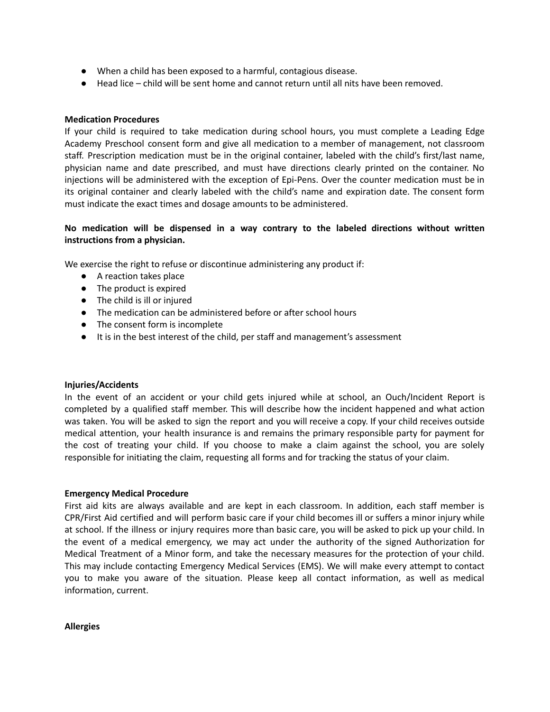- When a child has been exposed to a harmful, contagious disease.
- Head lice child will be sent home and cannot return until all nits have been removed.

#### **Medication Procedures**

If your child is required to take medication during school hours, you must complete a Leading Edge Academy Preschool consent form and give all medication to a member of management, not classroom staff. Prescription medication must be in the original container, labeled with the child's first/last name, physician name and date prescribed, and must have directions clearly printed on the container. No injections will be administered with the exception of Epi-Pens. Over the counter medication must be in its original container and clearly labeled with the child's name and expiration date. The consent form must indicate the exact times and dosage amounts to be administered.

#### **No medication will be dispensed in a way contrary to the labeled directions without written instructions from a physician.**

We exercise the right to refuse or discontinue administering any product if:

- A reaction takes place
- The product is expired
- The child is ill or injured
- The medication can be administered before or after school hours
- The consent form is incomplete
- It is in the best interest of the child, per staff and management's assessment

#### **Injuries/Accidents**

In the event of an accident or your child gets injured while at school, an Ouch/Incident Report is completed by a qualified staff member. This will describe how the incident happened and what action was taken. You will be asked to sign the report and you will receive a copy. If your child receives outside medical attention, your health insurance is and remains the primary responsible party for payment for the cost of treating your child. If you choose to make a claim against the school, you are solely responsible for initiating the claim, requesting all forms and for tracking the status of your claim.

#### **Emergency Medical Procedure**

First aid kits are always available and are kept in each classroom. In addition, each staff member is CPR/First Aid certified and will perform basic care if your child becomes ill or suffers a minor injury while at school. If the illness or injury requires more than basic care, you will be asked to pick up your child. In the event of a medical emergency, we may act under the authority of the signed Authorization for Medical Treatment of a Minor form, and take the necessary measures for the protection of your child. This may include contacting Emergency Medical Services (EMS). We will make every attempt to contact you to make you aware of the situation. Please keep all contact information, as well as medical information, current.

**Allergies**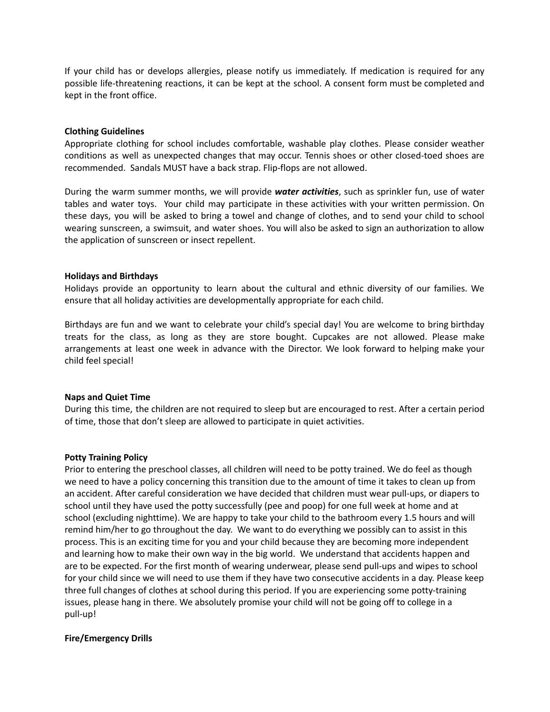If your child has or develops allergies, please notify us immediately. If medication is required for any possible life-threatening reactions, it can be kept at the school. A consent form must be completed and kept in the front office.

#### **Clothing Guidelines**

Appropriate clothing for school includes comfortable, washable play clothes. Please consider weather conditions as well as unexpected changes that may occur. Tennis shoes or other closed-toed shoes are recommended. Sandals MUST have a back strap. Flip-flops are not allowed.

During the warm summer months, we will provide *water activities*, such as sprinkler fun, use of water tables and water toys. Your child may participate in these activities with your written permission. On these days, you will be asked to bring a towel and change of clothes, and to send your child to school wearing sunscreen, a swimsuit, and water shoes. You will also be asked to sign an authorization to allow the application of sunscreen or insect repellent.

#### **Holidays and Birthdays**

Holidays provide an opportunity to learn about the cultural and ethnic diversity of our families. We ensure that all holiday activities are developmentally appropriate for each child.

Birthdays are fun and we want to celebrate your child's special day! You are welcome to bring birthday treats for the class, as long as they are store bought. Cupcakes are not allowed. Please make arrangements at least one week in advance with the Director. We look forward to helping make your child feel special!

#### **Naps and Quiet Time**

During this time, the children are not required to sleep but are encouraged to rest. After a certain period of time, those that don't sleep are allowed to participate in quiet activities.

#### **Potty Training Policy**

Prior to entering the preschool classes, all children will need to be potty trained. We do feel as though we need to have a policy concerning this transition due to the amount of time it takes to clean up from an accident. After careful consideration we have decided that children must wear pull-ups, or diapers to school until they have used the potty successfully (pee and poop) for one full week at home and at school (excluding nighttime). We are happy to take your child to the bathroom every 1.5 hours and will remind him/her to go throughout the day. We want to do everything we possibly can to assist in this process. This is an exciting time for you and your child because they are becoming more independent and learning how to make their own way in the big world. We understand that accidents happen and are to be expected. For the first month of wearing underwear, please send pull-ups and wipes to school for your child since we will need to use them if they have two consecutive accidents in a day. Please keep three full changes of clothes at school during this period. If you are experiencing some potty-training issues, please hang in there. We absolutely promise your child will not be going off to college in a pull-up!

#### **Fire/Emergency Drills**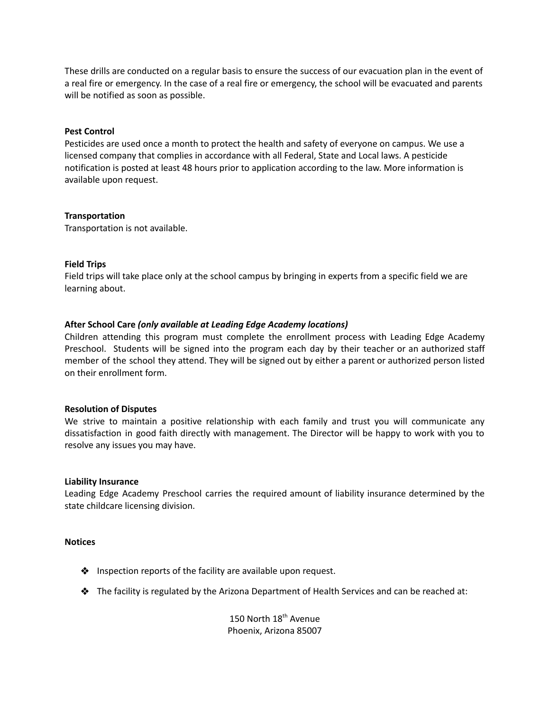These drills are conducted on a regular basis to ensure the success of our evacuation plan in the event of a real fire or emergency. In the case of a real fire or emergency, the school will be evacuated and parents will be notified as soon as possible.

#### **Pest Control**

Pesticides are used once a month to protect the health and safety of everyone on campus. We use a licensed company that complies in accordance with all Federal, State and Local laws. A pesticide notification is posted at least 48 hours prior to application according to the law. More information is available upon request.

#### **Transportation**

Transportation is not available.

#### **Field Trips**

Field trips will take place only at the school campus by bringing in experts from a specific field we are learning about.

#### **After School Care** *(only available at Leading Edge Academy locations)*

Children attending this program must complete the enrollment process with Leading Edge Academy Preschool. Students will be signed into the program each day by their teacher or an authorized staff member of the school they attend. They will be signed out by either a parent or authorized person listed on their enrollment form.

#### **Resolution of Disputes**

We strive to maintain a positive relationship with each family and trust you will communicate any dissatisfaction in good faith directly with management. The Director will be happy to work with you to resolve any issues you may have.

#### **Liability Insurance**

Leading Edge Academy Preschool carries the required amount of liability insurance determined by the state childcare licensing division.

#### **Notices**

- ❖ Inspection reports of the facility are available upon request.
- ❖ The facility is regulated by the Arizona Department of Health Services and can be reached at:

150 North 18<sup>th</sup> Avenue Phoenix, Arizona 85007